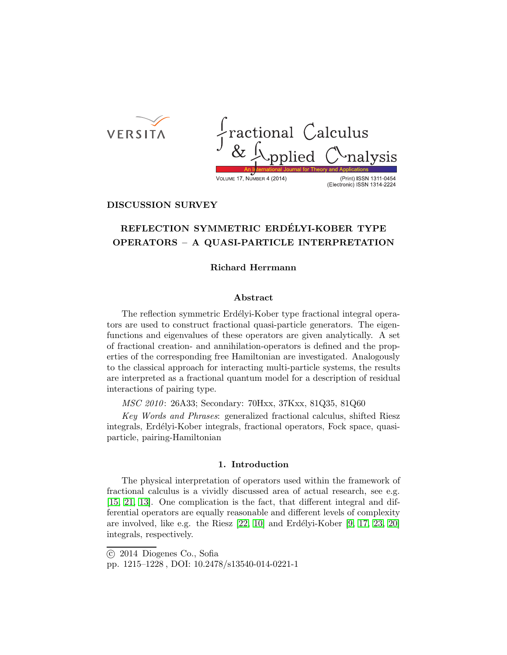**VERSITA** 

ractional Calculus<br>& *Applied* C<sup>A</sup>nal (Print) ISSN 1311-0454 VOLUME 17, NUMBER 4 (2014) (Electronic) ISSN 1314-2224

**DISCUSSION SURVEY**

# **REFLECTION SYMMETRIC ERDELYI-KOBER TYPE ´ OPERATORS – A QUASI-PARTICLE INTERPRETATION**

## **Richard Herrmann**

#### **Abstract**

The reflection symmetric Erdélyi-Kober type fractional integral operators are used to construct fractional quasi-particle generators. The eigenfunctions and eigenvalues of these operators are given analytically. A set of fractional creation- and annihilation-operators is defined and the properties of the corresponding free Hamiltonian are investigated. Analogously to the classical approach for interacting multi-particle systems, the results are interpreted as a fractional quantum model for a description of residual interactions of pairing type.

*MSC 2010*: 26A33; Secondary: 70Hxx, 37Kxx, 81Q35, 81Q60

*Key Words and Phrases*: generalized fractional calculus, shifted Riesz integrals, Erdélyi-Kober integrals, fractional operators, Fock space, quasiparticle, pairing-Hamiltonian

### **1. Introduction**

The physical interpretation of operators used within the framework of fractional calculus is a vividly discussed area of actual research, see e.g. [\[15,](#page-13-0) [21,](#page-13-1) [13\]](#page-13-2). One complication is the fact, that different integral and differential operators are equally reasonable and different levels of complexity are involved, like e.g. the Riesz  $[22, 10]$  $[22, 10]$  and Erdélyi-Kober  $[9, 17, 23, 20]$  $[9, 17, 23, 20]$  $[9, 17, 23, 20]$  $[9, 17, 23, 20]$ integrals, respectively.

-c 2014 Diogenes Co., Sofia

pp. 1215–1228 , DOI: 10.2478/s13540-014-0221-1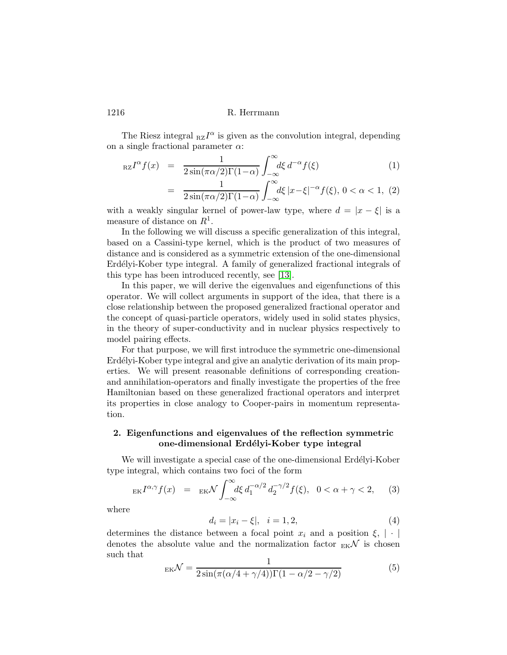The Riesz integral  $_{\text{RZ}}I^{\alpha}$  is given as the convolution integral, depending on a single fractional parameter  $\alpha$ :

$$
_{\mathrm{RZ}}I^{\alpha}f(x) = \frac{1}{2\sin(\pi\alpha/2)\Gamma(1-\alpha)} \int_{-\infty}^{\infty} d\xi \, d^{-\alpha}f(\xi) \tag{1}
$$

$$
= \frac{1}{2\sin(\pi\alpha/2)\Gamma(1-\alpha)} \int_{-\infty}^{\infty} d\xi \, |x-\xi|^{-\alpha} f(\xi), \, 0 < \alpha < 1, \tag{2}
$$

with a weakly singular kernel of power-law type, where  $d = |x - \xi|$  is a measure of distance on  $R^1$ .

In the following we will discuss a specific generalization of this integral, based on a Cassini-type kernel, which is the product of two measures of distance and is considered as a symmetric extension of the one-dimensional Erdélyi-Kober type integral. A family of generalized fractional integrals of this type has been introduced recently, see [\[13\]](#page-13-2).

In this paper, we will derive the eigenvalues and eigenfunctions of this operator. We will collect arguments in support of the idea, that there is a close relationship between the proposed generalized fractional operator and the concept of quasi-particle operators, widely used in solid states physics, in the theory of super-conductivity and in nuclear physics respectively to model pairing effects.

For that purpose, we will first introduce the symmetric one-dimensional Erdélyi-Kober type integral and give an analytic derivation of its main properties. We will present reasonable definitions of corresponding creationand annihilation-operators and finally investigate the properties of the free Hamiltonian based on these generalized fractional operators and interpret its properties in close analogy to Cooper-pairs in momentum representation.

# **2. Eigenfunctions and eigenvalues of the reflection symmetric one-dimensional Erd´elyi-Kober type integral**

We will investigate a special case of the one-dimensional Erdélyi-Kober type integral, which contains two foci of the form

<span id="page-1-0"></span>
$$
\mathrm{E}[I^{\alpha,\gamma}f(x)] = \mathrm{E}[X] \int_{-\infty}^{\infty} d\xi \, d_1^{-\alpha/2} \, d_2^{-\gamma/2} f(\xi), \quad 0 < \alpha + \gamma < 2,\tag{3}
$$

where

$$
d_i = |x_i - \xi|, \quad i = 1, 2,
$$
\n<sup>(4)</sup>

determines the distance between a focal point  $x_i$  and a position  $\xi$ , | · | denotes the absolute value and the normalization factor  $_{EK}$  is chosen such that

$$
E_{\rm K} \mathcal{N} = \frac{1}{2\sin(\pi(\alpha/4 + \gamma/4))\Gamma(1 - \alpha/2 - \gamma/2)}
$$
(5)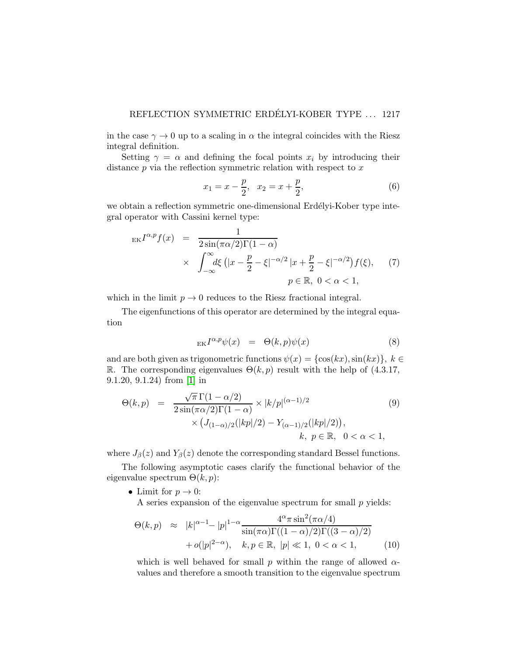in the case  $\gamma \to 0$  up to a scaling in  $\alpha$  the integral coincides with the Riesz integral definition.

Setting  $\gamma = \alpha$  and defining the focal points  $x_i$  by introducing their distance  $p$  via the reflection symmetric relation with respect to  $x$ 

$$
x_1 = x - \frac{p}{2}, \quad x_2 = x + \frac{p}{2}, \tag{6}
$$

we obtain a reflection symmetric one-dimensional Erdélyi-Kober type integral operator with Cassini kernel type:

$$
\begin{array}{rcl}\n\operatorname{EK}^{I^{\alpha,p}}f(x) &=& \frac{1}{2\sin(\pi\alpha/2)\Gamma(1-\alpha)} \\
&& \times \int_{-\infty}^{\infty} d\xi \left( |x - \frac{p}{2} - \xi|^{-\alpha/2} \left| x + \frac{p}{2} - \xi \right|^{-\alpha/2} \right) f(\xi), \qquad (7) \\
&p \in \mathbb{R}, \ 0 < \alpha < 1,\n\end{array}
$$

which in the limit  $p \to 0$  reduces to the Riesz fractional integral.

The eigenfunctions of this operator are determined by the integral equation

$$
E_K I^{\alpha, p} \psi(x) = \Theta(k, p) \psi(x) \tag{8}
$$

and are both given as trigonometric functions  $\psi(x) = {\cos(kx), \sin(kx)}$ ,  $k \in$ R. The corresponding eigenvalues  $\Theta(k, p)$  result with the help of (4.3.17, 9.1.20, 9.1.24) from [\[1\]](#page-12-2) in

<span id="page-2-0"></span>
$$
\Theta(k,p) = \frac{\sqrt{\pi} \Gamma(1-\alpha/2)}{2 \sin(\pi \alpha/2) \Gamma(1-\alpha)} \times |k/p|^{(\alpha-1)/2}
$$
(9)  
 
$$
\times (J_{(1-\alpha)/2}(|kp|/2) - Y_{(\alpha-1)/2}(|kp|/2)),
$$
  
  $k, p \in \mathbb{R}, 0 < \alpha < 1,$ 

where  $J_\beta(z)$  and  $Y_\beta(z)$  denote the corresponding standard Bessel functions.

The following asymptotic cases clarify the functional behavior of the eigenvalue spectrum  $\Theta(k,p)$ :

• Limit for  $p \to 0$ :

A series expansion of the eigenvalue spectrum for small  $p$  yields:

<span id="page-2-1"></span>
$$
\Theta(k,p) \approx |k|^{\alpha-1} - |p|^{1-\alpha} \frac{4^{\alpha} \pi \sin^2(\pi \alpha/4)}{\sin(\pi \alpha) \Gamma((1-\alpha)/2) \Gamma((3-\alpha)/2)} + o(|p|^{2-\alpha}), \quad k, p \in \mathbb{R}, \ |p| \ll 1, \ 0 < \alpha < 1,\tag{10}
$$

which is well behaved for small p within the range of allowed  $\alpha$ values and therefore a smooth transition to the eigenvalue spectrum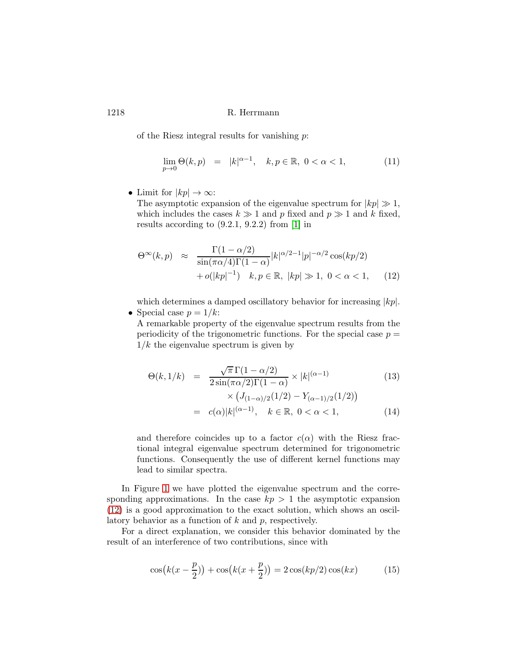of the Riesz integral results for vanishing  $p$ :

$$
\lim_{p \to 0} \Theta(k, p) = |k|^{\alpha - 1}, \quad k, p \in \mathbb{R}, \ 0 < \alpha < 1,\tag{11}
$$

• Limit for  $|kp| \to \infty$ :

The asymptotic expansion of the eigenvalue spectrum for  $|kp| \gg 1$ , which includes the cases  $k \gg 1$  and p fixed and  $p \gg 1$  and k fixed, results according to (9.2.1, 9.2.2) from [\[1\]](#page-12-2) in

<span id="page-3-0"></span>
$$
\Theta^{\infty}(k, p) \approx \frac{\Gamma(1 - \alpha/2)}{\sin(\pi \alpha/4)\Gamma(1 - \alpha)} |k|^{\alpha/2 - 1} |p|^{-\alpha/2} \cos(kp/2) + o(|kp|^{-1}) \quad k, p \in \mathbb{R}, \ |kp| \gg 1, \ 0 < \alpha < 1, \qquad (12)
$$

which determines a damped oscillatory behavior for increasing  $|kp|$ . • Special case  $p = 1/k$ :

A remarkable property of the eigenvalue spectrum results from the periodicity of the trigonometric functions. For the special case  $p =$  $1/k$  the eigenvalue spectrum is given by

$$
\Theta(k, 1/k) = \frac{\sqrt{\pi} \Gamma(1 - \alpha/2)}{2 \sin(\pi \alpha/2) \Gamma(1 - \alpha)} \times |k|^{(\alpha - 1)}
$$
(13)  

$$
\times (J_{(1 - \alpha)/2}(1/2) - Y_{(\alpha - 1)/2}(1/2))
$$
  

$$
= c(\alpha)|k|^{(\alpha - 1)}, \quad k \in \mathbb{R}, \ 0 < \alpha < 1,
$$
(14)

and therefore coincides up to a factor  $c(\alpha)$  with the Riesz fractional integral eigenvalue spectrum determined for trigonometric functions. Consequently the use of different kernel functions may lead to similar spectra.

In Figure [1](#page-4-0) we have plotted the eigenvalue spectrum and the corresponding approximations. In the case  $kp > 1$  the asymptotic expansion [\(12\)](#page-3-0) is a good approximation to the exact solution, which shows an oscillatory behavior as a function of  $k$  and  $p$ , respectively.

For a direct explanation, we consider this behavior dominated by the result of an interference of two contributions, since with

$$
\cos\big(k(x - \frac{p}{2})\big) + \cos\big(k(x + \frac{p}{2})\big) = 2\cos\big(kp/2\big)\cos(kx) \tag{15}
$$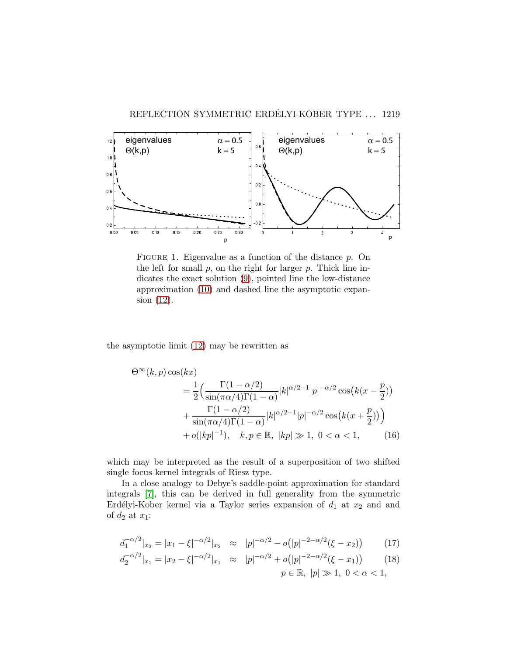

<span id="page-4-0"></span>FIGURE 1. Eigenvalue as a function of the distance  $p$ . On the left for small  $p$ , on the right for larger  $p$ . Thick line indicates the exact solution [\(9\)](#page-2-0), pointed line the low-distance approximation [\(10\)](#page-2-1) and dashed line the asymptotic expansion [\(12\)](#page-3-0).

the asymptotic limit [\(12\)](#page-3-0) may be rewritten as

$$
\Theta^{\infty}(k, p) \cos(kx)
$$
  
=  $\frac{1}{2} \Big( \frac{\Gamma(1 - \alpha/2)}{\sin(\pi \alpha/4) \Gamma(1 - \alpha)} |k|^{\alpha/2 - 1} |p|^{-\alpha/2} \cos(k(x - \frac{p}{2}))$   
+  $\frac{\Gamma(1 - \alpha/2)}{\sin(\pi \alpha/4) \Gamma(1 - \alpha)} |k|^{\alpha/2 - 1} |p|^{-\alpha/2} \cos(k(x + \frac{p}{2})) \Big)$   
+  $o(|kp|^{-1}), \quad k, p \in \mathbb{R}, |kp| \gg 1, 0 < \alpha < 1,$  (16)

which may be interpreted as the result of a superposition of two shifted single focus kernel integrals of Riesz type.

In a close analogy to Debye's saddle-point approximation for standard integrals [\[7\]](#page-12-3), this can be derived in full generality from the symmetric Erdélyi-Kober kernel via a Taylor series expansion of  $d_1$  at  $x_2$  and and of  $d_2$  at  $x_1$ :

$$
d_1^{-\alpha/2}|_{x_2} = |x_1 - \xi|^{-\alpha/2}|_{x_2} \approx |p|^{-\alpha/2} - o(|p|^{-2-\alpha/2}(\xi - x_2)) \tag{17}
$$

$$
d_2^{-\alpha/2}|_{x_1} = |x_2 - \xi|^{-\alpha/2}|_{x_1} \approx |p|^{-\alpha/2} + o(|p|^{-2-\alpha/2}(\xi - x_1)) \qquad (18)
$$
  
\n
$$
p \in \mathbb{R}, |p| \gg 1, \ 0 < \alpha < 1,
$$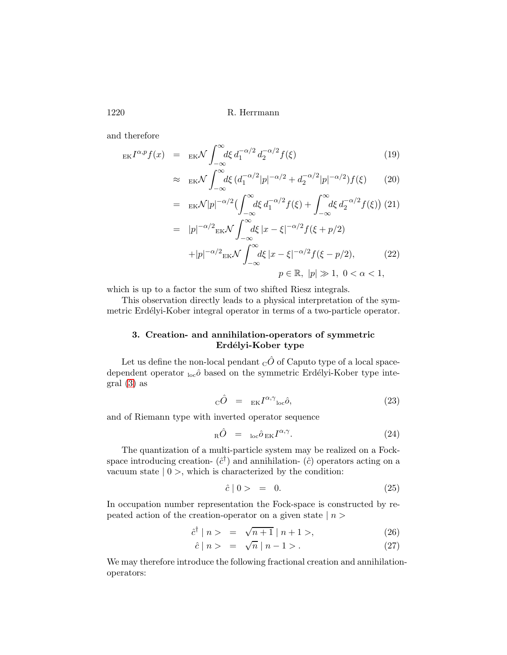and therefore

<span id="page-5-2"></span>
$$
E K I^{\alpha, p} f(x) = E K \mathcal{N} \int_{-\infty}^{\infty} d\xi \, d_1^{-\alpha/2} \, d_2^{-\alpha/2} f(\xi) \tag{19}
$$
\n
$$
\int_{-\infty}^{\infty} d\xi \, (J^{-\alpha/2} L^{-\alpha/2} L^{-\alpha/2} L^{-\alpha/2} L^{-\alpha/2} L^{-\alpha/2} L^{(2)} f(\xi) \tag{20}
$$

$$
\approx \mathbf{E} \mathbf{K} \mathcal{N} \int_{-\infty}^{\infty} d\xi \, (d_1^{-\alpha/2} |p|^{-\alpha/2} + d_2^{-\alpha/2} |p|^{-\alpha/2}) f(\xi) \tag{20}
$$

$$
= \varepsilon_{\rm EK} \mathcal{N}|p|^{-\alpha/2} \left(\int_{-\infty}^{\infty} d\xi \, d_1^{-\alpha/2} f(\xi) + \int_{-\infty}^{\infty} d\xi \, d_2^{-\alpha/2} f(\xi)\right) (21)
$$

$$
= |p|^{-\alpha/2} \varepsilon_{\rm EK} \mathcal{N} \int_{-\infty}^{\infty} d\xi \, |x - \xi|^{-\alpha/2} f(\xi + p/2)
$$

$$
+ |p|^{-\alpha/2} \varepsilon_{\rm EK} \mathcal{N} \int_{-\infty}^{\infty} d\xi \, |x - \xi|^{-\alpha/2} f(\xi - p/2), \qquad (22)
$$

$$
p\in\mathbb{R},\ |p|\gg1,\ 0<\alpha<1,
$$

which is up to a factor the sum of two shifted Riesz integrals.

This observation directly leads to a physical interpretation of the symmetric Erdélyi-Kober integral operator in terms of a two-particle operator.

# **3. Creation- and annihilation-operators of symmetric Erdelyi-Kober type** ´

Let us define the non-local pendant  $_{\rm C}\hat{O}$  of Caputo type of a local spacedependent operator  $_{loc}\hat{o}$  based on the symmetric Erdélyi-Kober type integral [\(3\)](#page-1-0) as

<span id="page-5-0"></span>
$$
{}_{\mathcal{C}}\hat{O} = {}_{\mathcal{E}K}I^{\alpha,\gamma}{}_{\mathcal{C}^{\alpha,\hat{O}}},\tag{23}
$$

and of Riemann type with inverted operator sequence

<span id="page-5-1"></span>
$$
{}_{R}\hat{O} = {}_{loc}\hat{o}_{EK}I^{\alpha,\gamma}.
$$
 (24)

The quantization of a multi-particle system may be realized on a Fockspace introducing creation-  $(\hat{c}^{\dagger})$  and annihilation-  $(\hat{c})$  operators acting on a vacuum state  $|0\rangle$ , which is characterized by the condition:

$$
\hat{c} \mid 0 \geq \quad = \quad 0. \tag{25}
$$

In occupation number representation the Fock-space is constructed by repeated action of the creation-operator on a given state  $|n\rangle$ 

$$
\hat{c}^{\dagger} \mid n > = \sqrt{n+1} \mid n+1 >,
$$
 (26)

$$
\hat{c} \mid n > \quad = \quad \sqrt{n} \mid n - 1 >. \tag{27}
$$

We may therefore introduce the following fractional creation and annihilationoperators: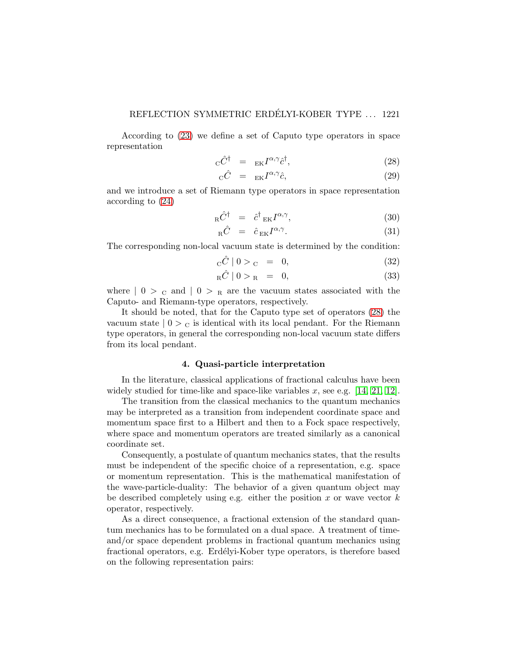According to [\(23\)](#page-5-0) we define a set of Caputo type operators in space representation

<span id="page-6-0"></span>
$$
{}_{\mathcal{C}}\hat{C}^{\dagger} = {}_{\mathcal{E}K}I^{\alpha,\gamma}\hat{c}^{\dagger}, \tag{28}
$$

$$
{}_{\mathcal{C}}\hat{C} = {}_{\mathcal{E}K}I^{\alpha,\gamma}\hat{c},\tag{29}
$$

and we introduce a set of Riemann type operators in space representation according to [\(24\)](#page-5-1)

<span id="page-6-1"></span>
$$
{}_{R}\hat{C}^{\dagger} = \hat{c}^{\dagger}{}_{EK}I^{\alpha,\gamma}, \tag{30}
$$

$$
{}_{R}\hat{C} = \hat{c}_{EK}I^{\alpha,\gamma}.
$$
 (31)

The corresponding non-local vacuum state is determined by the condition:

$$
{}_{\mathcal{C}}\hat{\mathcal{C}}\mid 0>_{\mathcal{C}}\quad =\quad 0,\tag{32}
$$

$$
{}_{R}\hat{C} \mid 0 \geq R = 0,\tag{33}
$$

where  $| 0 > c$  and  $| 0 > R$  are the vacuum states associated with the Caputo- and Riemann-type operators, respectively.

It should be noted, that for the Caputo type set of operators [\(28\)](#page-6-0) the vacuum state  $|0\rangle_{\rm C}$  is identical with its local pendant. For the Riemann type operators, in general the corresponding non-local vacuum state differs from its local pendant.

# **4. Quasi-particle interpretation**

In the literature, classical applications of fractional calculus have been widely studied for time-like and space-like variables x, see e.g.  $[14, 21, 12]$  $[14, 21, 12]$  $[14, 21, 12]$ .

The transition from the classical mechanics to the quantum mechanics may be interpreted as a transition from independent coordinate space and momentum space first to a Hilbert and then to a Fock space respectively, where space and momentum operators are treated similarly as a canonical coordinate set.

Consequently, a postulate of quantum mechanics states, that the results must be independent of the specific choice of a representation, e.g. space or momentum representation. This is the mathematical manifestation of the wave-particle-duality: The behavior of a given quantum object may be described completely using e.g. either the position x or wave vector  $k$ operator, respectively.

As a direct consequence, a fractional extension of the standard quantum mechanics has to be formulated on a dual space. A treatment of timeand/or space dependent problems in fractional quantum mechanics using fractional operators, e.g. Erdélyi-Kober type operators, is therefore based on the following representation pairs: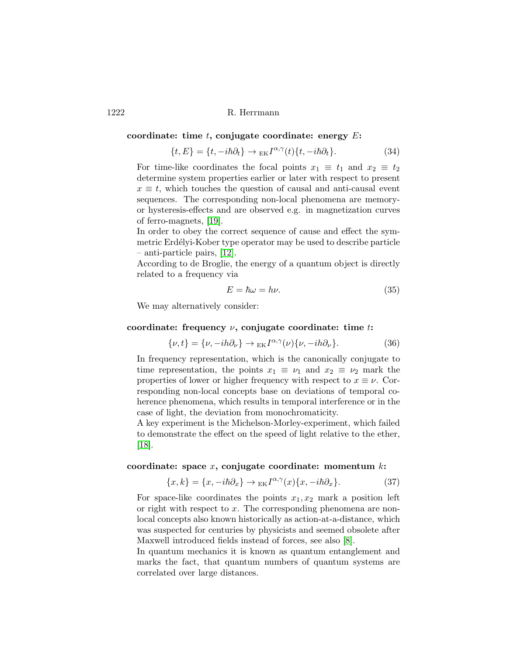#### **coordinate: time** t**, conjugate coordinate: energy** E**:**

$$
\{t, E\} = \{t, -i\hbar\partial_t\} \to_{EK} I^{\alpha, \gamma}(t)\{t, -i\hbar\partial_t\}.
$$
 (34)

For time-like coordinates the focal points  $x_1 \equiv t_1$  and  $x_2 \equiv t_2$ determine system properties earlier or later with respect to present  $x \equiv t$ , which touches the question of causal and anti-causal event sequences. The corresponding non-local phenomena are memoryor hysteresis-effects and are observed e.g. in magnetization curves of ferro-magnets, [\[19\]](#page-13-9).

In order to obey the correct sequence of cause and effect the symmetric Erdélyi-Kober type operator may be used to describe particle – anti-particle pairs, [\[12\]](#page-13-8).

According to de Broglie, the energy of a quantum object is directly related to a frequency via

$$
E = \hbar \omega = h\nu. \tag{35}
$$

We may alternatively consider:

### **coordinate: frequency** ν**, conjugate coordinate: time** t**:**

$$
\{\nu, t\} = \{\nu, -ih\partial_{\nu}\} \to {}_{EK}I^{\alpha, \gamma}(\nu)\{\nu, -ih\partial_{\nu}\}.
$$
 (36)

In frequency representation, which is the canonically conjugate to time representation, the points  $x_1 \equiv \nu_1$  and  $x_2 \equiv \nu_2$  mark the properties of lower or higher frequency with respect to  $x \equiv \nu$ . Corresponding non-local concepts base on deviations of temporal coherence phenomena, which results in temporal interference or in the case of light, the deviation from monochromaticity.

A key experiment is the Michelson-Morley-experiment, which failed to demonstrate the effect on the speed of light relative to the ether, [\[18\]](#page-13-10).

#### **coordinate: space** x**, conjugate coordinate: momentum** k**:**

$$
\{x,k\} = \{x, -i\hbar\partial_x\} \to {}_{EK}I^{\alpha,\gamma}(x)\{x, -i\hbar\partial_x\}.
$$
 (37)

For space-like coordinates the points  $x_1, x_2$  mark a position left or right with respect to  $x$ . The corresponding phenomena are nonlocal concepts also known historically as action-at-a-distance, which was suspected for centuries by physicists and seemed obsolete after Maxwell introduced fields instead of forces, see also [\[8\]](#page-12-4).

In quantum mechanics it is known as quantum entanglement and marks the fact, that quantum numbers of quantum systems are correlated over large distances.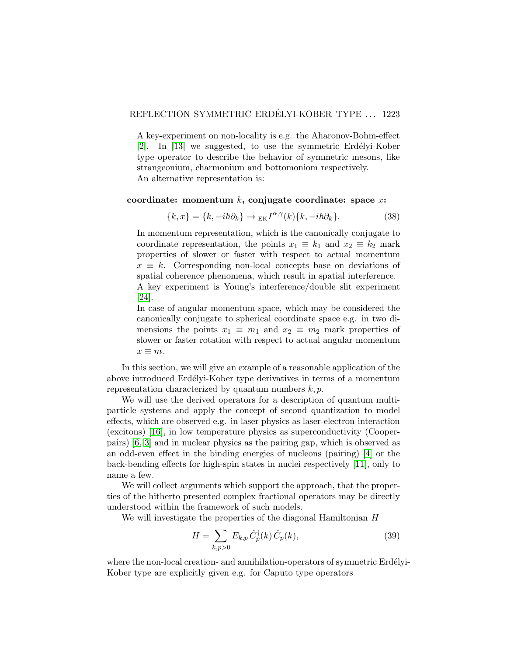A key-experiment on non-locality is e.g. the Aharonov-Bohm-effect [\[2\]](#page-12-5). In [\[13\]](#page-13-2) we suggested, to use the symmetric Erdélyi-Kober type operator to describe the behavior of symmetric mesons, like strangeonium, charmonium and bottomoniom respectively. An alternative representation is:

#### **coordinate: momentum** k**, conjugate coordinate: space** x**:**

$$
\{k, x\} = \{k, -i\hbar\partial_k\} \to {}_{\text{EK}}I^{\alpha, \gamma}(k)\{k, -i\hbar\partial_k\}.
$$
 (38)

In momentum representation, which is the canonically conjugate to coordinate representation, the points  $x_1 \equiv k_1$  and  $x_2 \equiv k_2$  mark properties of slower or faster with respect to actual momentum  $x \equiv k$ . Corresponding non-local concepts base on deviations of spatial coherence phenomena, which result in spatial interference. A key experiment is Young's interference/double slit experiment [\[24\]](#page-13-11).

In case of angular momentum space, which may be considered the canonically conjugate to spherical coordinate space e.g. in two dimensions the points  $x_1 \equiv m_1$  and  $x_2 \equiv m_2$  mark properties of slower or faster rotation with respect to actual angular momentum  $x \equiv m$ .

In this section, we will give an example of a reasonable application of the above introduced Erdélyi-Kober type derivatives in terms of a momentum representation characterized by quantum numbers  $k, p$ .

We will use the derived operators for a description of quantum multiparticle systems and apply the concept of second quantization to model effects, which are observed e.g. in laser physics as laser-electron interaction (excitons) [\[16\]](#page-13-12), in low temperature physics as superconductivity (Cooperpairs) [\[6,](#page-12-6) [3\]](#page-12-7) and in nuclear physics as the pairing gap, which is observed as an odd-even effect in the binding energies of nucleons (pairing) [\[4\]](#page-12-8) or the back-bending effects for high-spin states in nuclei respectively [\[11\]](#page-12-9), only to name a few.

We will collect arguments which support the approach, that the properties of the hitherto presented complex fractional operators may be directly understood within the framework of such models.

We will investigate the properties of the diagonal Hamiltonian H

<span id="page-8-0"></span>
$$
H = \sum_{k,p>0} E_{k,p} \hat{C}_p^{\dagger}(k) \hat{C}_p(k), \tag{39}
$$

where the non-local creation- and annihilation-operators of symmetric Erdélyi-Kober type are explicitly given e.g. for Caputo type operators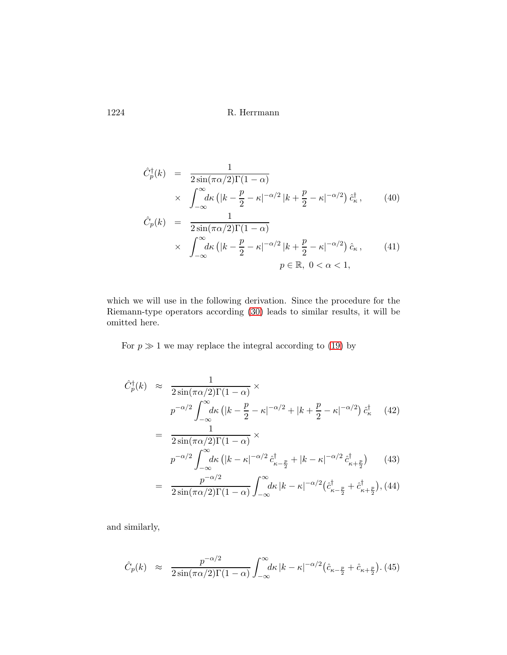$$
\hat{C}_p^{\dagger}(k) = \frac{1}{2\sin(\pi\alpha/2)\Gamma(1-\alpha)} \n\times \int_{-\infty}^{\infty} d\kappa \left( |k - \frac{p}{2} - \kappa|^{-\alpha/2} |k + \frac{p}{2} - \kappa|^{-\alpha/2} \right) \hat{c}_\kappa^{\dagger},
$$
\n(40)  
\n
$$
\hat{C}_p(k) = \frac{1}{2\sin(\pi\alpha/2)\Gamma(1-\alpha)} \n\times \int_{-\infty}^{\infty} d\kappa \left( |k - \frac{p}{2} - \kappa|^{-\alpha/2} |k + \frac{p}{2} - \kappa|^{-\alpha/2} \right) \hat{c}_\kappa,
$$
\n(41)  
\n
$$
p \in \mathbb{R}, 0 < \alpha < 1,
$$

which we will use in the following derivation. Since the procedure for the Riemann-type operators according [\(30\)](#page-6-1) leads to similar results, it will be omitted here.

For  $p \gg 1$  we may replace the integral according to [\(19\)](#page-5-2) by

$$
\hat{C}_p^{\dagger}(k) \approx \frac{1}{2\sin(\pi\alpha/2)\Gamma(1-\alpha)} \times \np^{-\alpha/2} \int_{-\infty}^{\infty} d\kappa \left( |k - \frac{p}{2} - \kappa|^{-\alpha/2} + |k + \frac{p}{2} - \kappa|^{-\alpha/2} \right) \hat{c}_\kappa^{\dagger} \quad (42) \n= \frac{1}{2\sin(\pi\alpha/2)\Gamma(1-\alpha)} \times \np^{-\alpha/2} \int_{-\infty}^{\infty} d\kappa \left( |k - \kappa|^{-\alpha/2} \hat{c}_{\kappa - \frac{p}{2}}^{\dagger} + |k - \kappa|^{-\alpha/2} \hat{c}_{\kappa + \frac{p}{2}}^{\dagger} \right) \quad (43) \n= \frac{p^{-\alpha/2}}{2\sin(\pi\alpha/2)\Gamma(1-\alpha)} \int_{-\infty}^{\infty} d\kappa |k - \kappa|^{-\alpha/2} (\hat{c}_{\kappa - \frac{p}{2}}^{\dagger} + \hat{c}_{\kappa + \frac{p}{2}}^{\dagger}), (44)
$$

and similarly,

$$
\hat{C}_p(k) \approx \frac{p^{-\alpha/2}}{2\sin(\pi\alpha/2)\Gamma(1-\alpha)} \int_{-\infty}^{\infty} \!\! d\kappa \, |k-\kappa|^{-\alpha/2} \big(\hat{c}_{\kappa-\frac{p}{2}} + \hat{c}_{\kappa+\frac{p}{2}}\big). \tag{45}
$$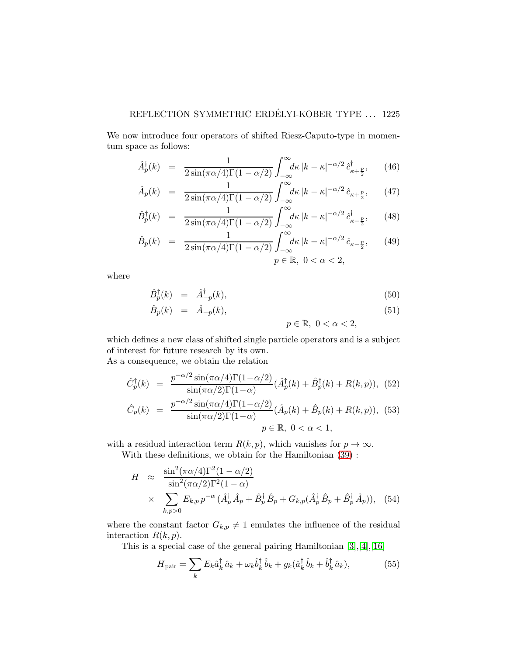We now introduce four operators of shifted Riesz-Caputo-type in momentum space as follows:

$$
\hat{A}_p^{\dagger}(k) = \frac{1}{2\sin(\pi\alpha/4)\Gamma(1-\alpha/2)} \int_{-\infty}^{\infty} \!\! d\kappa \, |k - \kappa|^{-\alpha/2} \, \hat{c}_{\kappa+\frac{p}{2}}^{\dagger}, \qquad (46)
$$

$$
\hat{A}_p(k) = \frac{1}{2\sin(\pi\alpha/4)\Gamma(1-\alpha/2)} \int_{-\infty}^{\infty} \!\! d\kappa \, |k - \kappa|^{-\alpha/2} \hat{c}_{\kappa + \frac{p}{2}}, \qquad (47)
$$

$$
\hat{B}_p^{\dagger}(k) = \frac{1}{2\sin(\pi\alpha/4)\Gamma(1-\alpha/2)} \int_{-\infty}^{\infty} \!\! d\kappa \, |k - \kappa|^{-\alpha/2} \, \hat{c}_{\kappa - \frac{p}{2}}^{\dagger}, \qquad (48)
$$

$$
\hat{B}_p(k) = \frac{1}{2\sin(\pi\alpha/4)\Gamma(1-\alpha/2)} \int_{-\infty}^{\infty} \!\! d\kappa \, |k-\kappa|^{-\alpha/2} \hat{c}_{\kappa-\frac{p}{2}}, \qquad (49)
$$
\n
$$
p \in \mathbb{R}, \ 0 < \alpha < 2,
$$

where

$$
\hat{B}_p^{\dagger}(k) = \hat{A}_{-p}^{\dagger}(k), \tag{50}
$$

$$
\hat{B}_p(k) = \hat{A}_{-p}(k), \tag{51}
$$

 $p \in \mathbb{R}, 0 < \alpha < 2$ ,

which defines a new class of shifted single particle operators and is a subject of interest for future research by its own. As a consequence, we obtain the relation

$$
\hat{C}_p^{\dagger}(k) = \frac{p^{-\alpha/2} \sin(\pi \alpha/4) \Gamma(1-\alpha/2)}{\sin(\pi \alpha/2) \Gamma(1-\alpha)} (\hat{A}_p^{\dagger}(k) + \hat{B}_p^{\dagger}(k) + R(k, p)), \quad (52)
$$

$$
\hat{C}_p(k) = \frac{p^{-\alpha/2} \sin(\pi \alpha/4) \Gamma(1-\alpha/2)}{\sin(\pi \alpha/2) \Gamma(1-\alpha)} (\hat{A}_p(k) + \hat{B}_p(k) + R(k, p)), \quad (53)
$$

$$
p \in \mathbb{R}, \quad 0 < \alpha < 1,
$$

with a residual interaction term  $R(k, p)$ , which vanishes for  $p \to \infty$ .

With these definitions, we obtain for the Hamiltonian [\(39\)](#page-8-0) :

$$
H \approx \frac{\sin^2(\pi \alpha/4)\Gamma^2(1-\alpha/2)}{\sin^2(\pi \alpha/2)\Gamma^2(1-\alpha)} \times \sum_{k,p>0} E_{k,p} p^{-\alpha} (\hat{A}_p^{\dagger} \hat{A}_p + \hat{B}_p^{\dagger} \hat{B}_p + G_{k,p} (\hat{A}_p^{\dagger} \hat{B}_p + \hat{B}_p^{\dagger} \hat{A}_p)), \quad (54)
$$

where the constant factor  $G_{k,p} \neq 1$  emulates the influence of the residual interaction  $R(k, p)$ .

This is a special case of the general pairing Hamiltonian [\[3\]](#page-12-7),[\[4\]](#page-12-8),[\[16\]](#page-13-12)

$$
H_{\text{pair}} = \sum_{k} E_k \hat{a}_k^{\dagger} \hat{a}_k + \omega_k \hat{b}_k^{\dagger} \hat{b}_k + g_k (\hat{a}_k^{\dagger} \hat{b}_k + \hat{b}_k^{\dagger} \hat{a}_k), \tag{55}
$$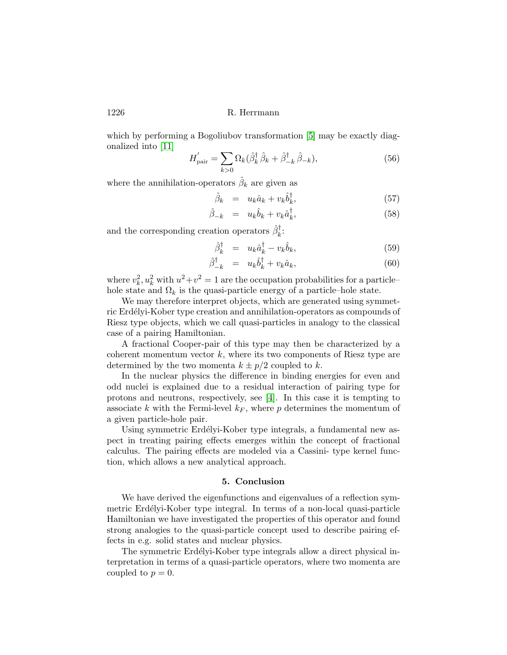which by performing a Bogoliubov transformation [\[5\]](#page-12-10) may be exactly diagonalized into [\[11\]](#page-12-9)

$$
H'_{\text{pair}} = \sum_{k>0} \Omega_k (\hat{\beta}_k^{\dagger} \hat{\beta}_k + \hat{\beta}_{-k}^{\dagger} \hat{\beta}_{-k}), \tag{56}
$$

where the annihilation-operators  $\hat{\beta}_k$  are given as

$$
\hat{\beta}_k = u_k \hat{a}_k + v_k \hat{b}_k^{\dagger}, \tag{57}
$$

$$
\hat{\beta}_{-k} = u_k \hat{b}_k + v_k \hat{a}_k^{\dagger}, \tag{58}
$$

and the corresponding creation operators  $\hat{\beta}_k^{\dagger}$ :

$$
\hat{\beta}_k^{\dagger} = u_k \hat{a}_k^{\dagger} - v_k \hat{b}_k, \tag{59}
$$

$$
\hat{\beta}_{-k}^{\dagger} = u_k \hat{b}_k^{\dagger} + v_k \hat{a}_k, \tag{60}
$$

where  $v_k^2$ ,  $u_k^2$  with  $u^2 + v^2 = 1$  are the occupation probabilities for a particlehole state and  $\Omega_k$  is the quasi-particle energy of a particle–hole state.

We may therefore interpret objects, which are generated using symmetric Erdélyi-Kober type creation and annihilation-operators as compounds of Riesz type objects, which we call quasi-particles in analogy to the classical case of a pairing Hamiltonian.

A fractional Cooper-pair of this type may then be characterized by a coherent momentum vector  $k$ , where its two components of Riesz type are determined by the two momenta  $k \pm p/2$  coupled to k.

In the nuclear physics the difference in binding energies for even and odd nuclei is explained due to a residual interaction of pairing type for protons and neutrons, respectively, see [\[4\]](#page-12-8). In this case it is tempting to associate k with the Fermi-level  $k_F$ , where p determines the momentum of a given particle-hole pair.

Using symmetric Erdélyi-Kober type integrals, a fundamental new aspect in treating pairing effects emerges within the concept of fractional calculus. The pairing effects are modeled via a Cassini- type kernel function, which allows a new analytical approach.

#### **5. Conclusion**

We have derived the eigenfunctions and eigenvalues of a reflection symmetric Erdélyi-Kober type integral. In terms of a non-local quasi-particle Hamiltonian we have investigated the properties of this operator and found strong analogies to the quasi-particle concept used to describe pairing effects in e.g. solid states and nuclear physics.

The symmetric Erdélyi-Kober type integrals allow a direct physical interpretation in terms of a quasi-particle operators, where two momenta are coupled to  $p = 0$ .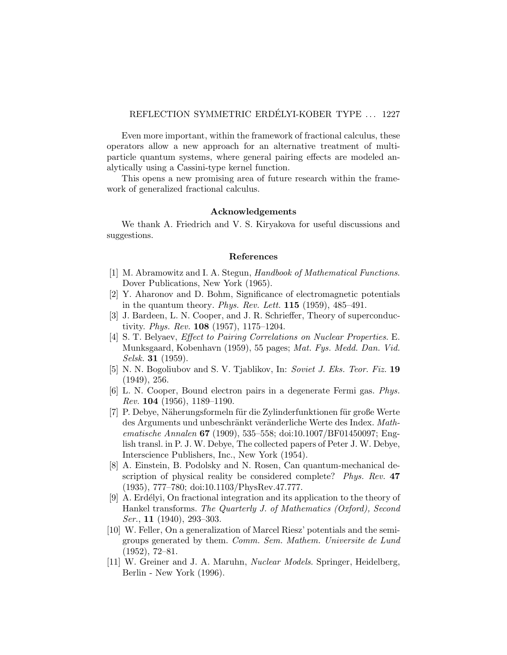Even more important, within the framework of fractional calculus, these operators allow a new approach for an alternative treatment of multiparticle quantum systems, where general pairing effects are modeled analytically using a Cassini-type kernel function.

This opens a new promising area of future research within the framework of generalized fractional calculus.

#### **Acknowledgements**

We thank A. Friedrich and V. S. Kiryakova for useful discussions and suggestions.

#### **References**

- <span id="page-12-2"></span>[1] M. Abramowitz and I. A. Stegun, *Handbook of Mathematical Functions*. Dover Publications, New York (1965).
- <span id="page-12-5"></span>[2] Y. Aharonov and D. Bohm, Significance of electromagnetic potentials in the quantum theory. *Phys. Rev. Lett.* **115** (1959), 485–491.
- <span id="page-12-7"></span>[3] J. Bardeen, L. N. Cooper, and J. R. Schrieffer, Theory of superconductivity. *Phys. Rev.* **108** (1957), 1175–1204.
- <span id="page-12-8"></span>[4] S. T. Belyaev, *Effect to Pairing Correlations on Nuclear Properties*. E. Munksgaard, Kobenhavn (1959), 55 pages; *Mat. Fys. Medd. Dan. Vid. Selsk.* **31** (1959).
- <span id="page-12-10"></span>[5] N. N. Bogoliubov and S. V. Tjablikov, In: *Soviet J. Eks. Teor. Fiz.* **19** (1949), 256.
- <span id="page-12-6"></span>[6] L. N. Cooper, Bound electron pairs in a degenerate Fermi gas. *Phys. Rev.* **104** (1956), 1189–1190.
- <span id="page-12-3"></span>[7] P. Debye, Näherungsformeln für die Zylinderfunktionen für große Werte des Arguments und unbeschränkt veränderliche Werte des Index. Math*ematische Annalen* **67** (1909), 535–558; doi:10.1007/BF01450097; English transl. in P. J. W. Debye, The collected papers of Peter J. W. Debye, Interscience Publishers, Inc., New York (1954).
- <span id="page-12-4"></span>[8] A. Einstein, B. Podolsky and N. Rosen, Can quantum-mechanical description of physical reality be considered complete? *Phys. Rev.* **47** (1935), 777–780; doi:10.1103/PhysRev.47.777.
- <span id="page-12-1"></span>[9] A. Erdélyi, On fractional integration and its application to the theory of Hankel transforms. *The Quarterly J. of Mathematics (Oxford), Second Ser.*, **11** (1940), 293–303.
- <span id="page-12-0"></span>[10] W. Feller, On a generalization of Marcel Riesz' potentials and the semigroups generated by them. *Comm. Sem. Mathem. Universite de Lund* (1952), 72–81.
- <span id="page-12-9"></span>[11] W. Greiner and J. A. Maruhn, *Nuclear Models*. Springer, Heidelberg, Berlin - New York (1996).